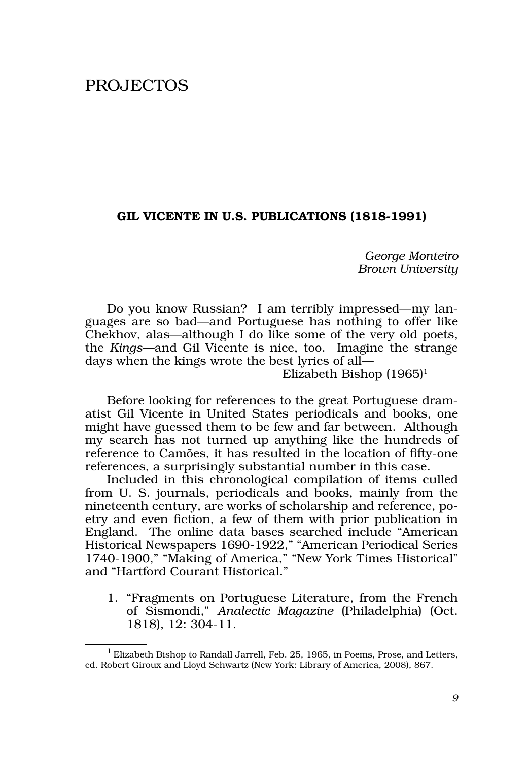## PROJECTOS

## GIL VICENTE IN U.S. PUBLICATIONS (1818‑1991)

*George Monteiro Brown University*

Do you know Russian? I am terribly impressed—my languages are so bad—and Portuguese has nothing to offer like Chekhov, alas—although I do like some of the very old poets, the *Kings*—and Gil Vicente is nice, too. Imagine the strange days when the kings wrote the best lyrics of all—

Elizabeth Bishop  $(1965)^1$ 

Before looking for references to the great Portuguese dramatist Gil Vicente in United States periodicals and books, one might have guessed them to be few and far between. Although my search has not turned up anything like the hundreds of reference to Camões, it has resulted in the location of fifty-one references, a surprisingly substantial number in this case.

Included in this chronological compilation of items culled from U. S. journals, periodicals and books, mainly from the nineteenth century, are works of scholarship and reference, poetry and even fiction, a few of them with prior publication in England. The online data bases searched include "American Historical Newspapers 1690‑1922," "American Periodical Series 1740‑1900," "Making of America," "New York Times Historical" and "Hartford Courant Historical."

1. "Fragments on Portuguese Literature, from the French of Sismondi," *Analectic Magazine* (Philadelphia) (Oct. 1818), 12: 304‑11.

<sup>&</sup>lt;sup>1</sup> Elizabeth Bishop to Randall Jarrell, Feb. 25, 1965, in Poems, Prose, and Letters, ed. Robert Giroux and Lloyd Schwartz (New York: Library of America, 2008), 867.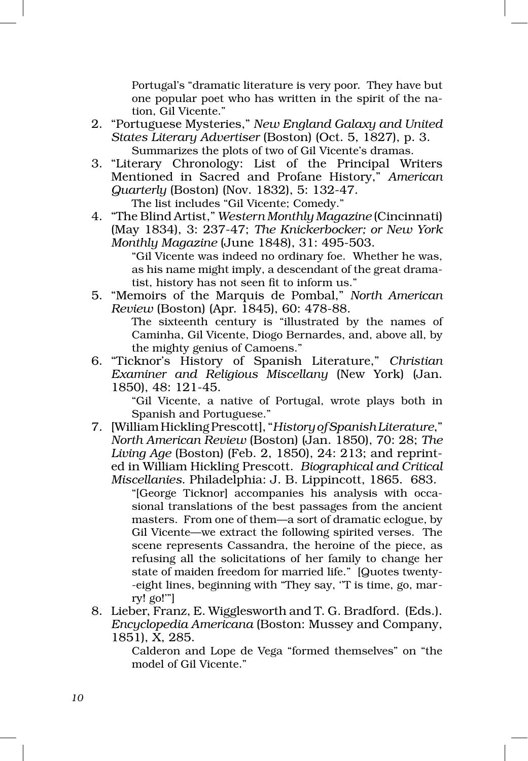Portugal's "dramatic literature is very poor. They have but one popular poet who has written in the spirit of the na‑ tion, Gil Vicente."

- 2. "Portuguese Mysteries," *New England Galaxy and United States Literary Advertiser* (Boston) (Oct. 5, 1827), p. 3. Summarizes the plots of two of Gil Vicente's dramas.
- 3. "Literary Chronology: List of the Principal Writers Mentioned in Sacred and Profane History," *American Quarterly* (Boston) (Nov. 1832), 5: 132‑47. The list includes "Gil Vicente; Comedy."
- 4. "The Blind Artist," *Western Monthly Magazine* (Cincinnati) (May 1834), 3: 237‑47; *The Knickerbocker; or New York Monthly Magazine* (June 1848), 31: 495‑503.

"Gil Vicente was indeed no ordinary foe. Whether he was, as his name might imply, a descendant of the great dramatist, history has not seen fit to inform us."

5. "Memoirs of the Marquis de Pombal," *North American Review* (Boston) (Apr. 1845), 60: 478‑88.

> The sixteenth century is "illustrated by the names of Caminha, Gil Vicente, Diogo Bernardes, and, above all, by the mighty genius of Camoens."

6. "Ticknor's History of Spanish Literature," *Christian Examiner and Religious Miscellany* (New York) (Jan. 1850), 48: 121‑45.

> "Gil Vicente, a native of Portugal, wrote plays both in Spanish and Portuguese."

7. [William Hickling Prescott], "*History of Spanish Literature*," *North American Review* (Boston) (Jan. 1850), 70: 28; *The Living Age* (Boston) (Feb. 2, 1850), 24: 213; and reprinted in William Hickling Prescott. *Biographical and Critical Miscellanies*. Philadelphia: J. B. Lippincott, 1865. 683.

"[George Ticknor] accompanies his analysis with occa‑ sional translations of the best passages from the ancient masters. From one of them—a sort of dramatic eclogue, by Gil Vicente—we extract the following spirited verses. The scene represents Cassandra, the heroine of the piece, as refusing all the solicitations of her family to change her state of maiden freedom for married life." [Quotes twenty-‑eight lines, beginning with "They say, ''T is time, go, mar‑ ry! go!'"]

8. Lieber, Franz, E. Wigglesworth and T. G. Bradford. (Eds.). *Encyclopedia Americana* (Boston: Mussey and Company, 1851), X, 285.

Calderon and Lope de Vega "formed themselves" on "the model of Gil Vicente."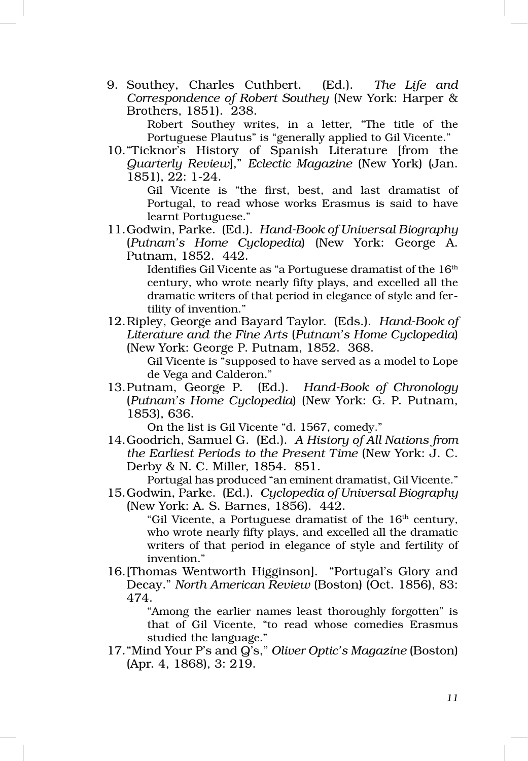9. Southey, Charles Cuthbert. (Ed.). *The Life and Correspondence of Robert Southey* (New York: Harper & Brothers, 1851). 238.

Robert Southey writes, in a letter, "The title of the Portuguese Plautus" is "generally applied to Gil Vicente."

10."Ticknor's History of Spanish Literature [from the *Quarterly Review*]," *Eclectic Magazine* (New York) (Jan. 1851), 22: 1‑24.

> Gil Vicente is "the first, best, and last dramatist of Portugal, to read whose works Erasmus is said to have learnt Portuguese."

11.Godwin, Parke. (Ed.). *Hand‑Book of Universal Biography* (*Putnam's Home Cyclopedia*) (New York: George A. Putnam, 1852. 442.

> Identifies Gil Vicente as "a Portuguese dramatist of the 16<sup>th</sup> century, who wrote nearly fifty plays, and excelled all the dramatic writers of that period in elegance of style and fertility of invention."

12.Ripley, George and Bayard Taylor. (Eds.). *Hand‑Book of Literature and the Fine Arts* (*Putnam's Home Cyclopedia*) (New York: George P. Putnam, 1852. 368.

Gil Vicente is "supposed to have served as a model to Lope de Vega and Calderon."

13.Putnam, George P. (Ed.). *Hand‑Book of Chronology* (*Putnam's Home Cyclopedia*) (New York: G. P. Putnam, 1853), 636.

On the list is Gil Vicente "d. 1567, comedy."

14.Goodrich, Samuel G. (Ed.). *A History of All Nations from the Earliest Periods to the Present Time* (New York: J. C. Derby & N. C. Miller, 1854. 851.

Portugal has produced "an eminent dramatist, Gil Vicente."

15.Godwin, Parke. (Ed.). *Cyclopedia of Universal Biography* (New York: A. S. Barnes, 1856). 442.

> "Gil Vicente, a Portuguese dramatist of the 16<sup>th</sup> century, who wrote nearly fifty plays, and excelled all the dramatic writers of that period in elegance of style and fertility of invention."

16.[Thomas Wentworth Higginson]. "Portugal's Glory and Decay." *North American Review* (Boston) (Oct. 1856), 83: 474.

> "Among the earlier names least thoroughly forgotten" is that of Gil Vicente, "to read whose comedies Erasmus studied the language."

17."Mind Your P's and Q's," *Oliver Optic's Magazine* (Boston) (Apr. 4, 1868), 3: 219.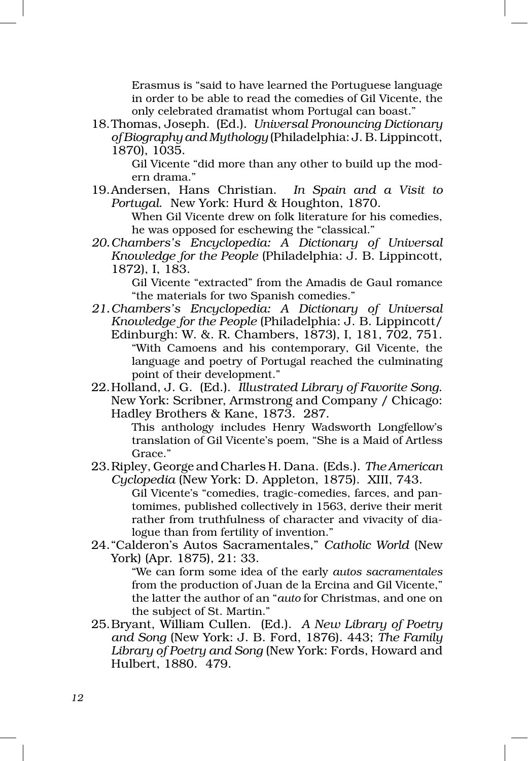Erasmus is "said to have learned the Portuguese language in order to be able to read the comedies of Gil Vicente, the only celebrated dramatist whom Portugal can boast."

18.Thomas, Joseph. (Ed.). *Universal Pronouncing Dictionary of Biography and Mythology* (Philadelphia: J. B. Lippincott, 1870), 1035.

> Gil Vicente "did more than any other to build up the modern drama."

19.Andersen, Hans Christian. *In Spain and a Visit to Portugal*. New York: Hurd & Houghton, 1870.

When Gil Vicente drew on folk literature for his comedies, he was opposed for eschewing the "classical."

*20.Chambers's Encyclopedia: A Dictionary of Universal Knowledge for the People* (Philadelphia: J. B. Lippincott, 1872), I, 183.

> Gil Vicente "extracted" from the Amadis de Gaul romance "the materials for two Spanish comedies."

- *21.Chambers's Encyclopedia: A Dictionary of Universal Knowledge for the People* (Philadelphia: J. B. Lippincott/ Edinburgh: W. &. R. Chambers, 1873), I, 181, 702, 751. "With Camoens and his contemporary, Gil Vicente, the language and poetry of Portugal reached the culminating point of their development."
- 22.Holland, J. G. (Ed.). *Illustrated Library of Favorite Song*. New York: Scribner, Armstrong and Company / Chicago: Hadley Brothers & Kane, 1873. 287.

This anthology includes Henry Wadsworth Longfellow's translation of Gil Vicente's poem, "She is a Maid of Artless Grace."

23.Ripley, George and Charles H. Dana. (Eds.). *The American Cyclopedia* (New York: D. Appleton, 1875). XIII, 743.

Gil Vicente's "comedies, tragic-comedies, farces, and pantomimes, published collectively in 1563, derive their merit rather from truthfulness of character and vivacity of dialogue than from fertility of invention."

24."Calderon's Autos Sacramentales," *Catholic World* (New York) (Apr. 1875), 21: 33.

> "We can form some idea of the early *autos sacramentales* from the production of Juan de la Ercina and Gil Vicente," the latter the author of an "*auto* for Christmas, and one on the subject of St. Martin."

25.Bryant, William Cullen. (Ed.). *A New Library of Poetry and Song* (New York: J. B. Ford, 1876). 443; *The Family Library of Poetry and Song* (New York: Fords, Howard and Hulbert, 1880. 479.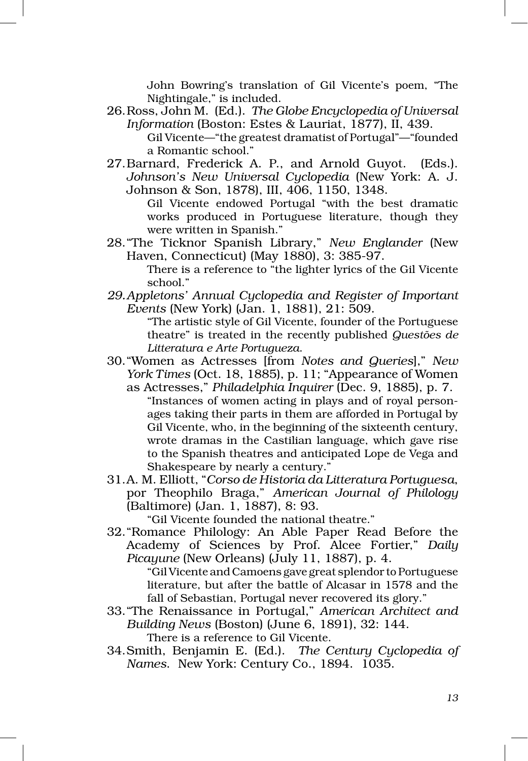John Bowring's translation of Gil Vicente's poem, "The Nightingale," is included.

- 26.Ross, John M. (Ed.). *The Globe Encyclopedia of Universal Information* (Boston: Estes & Lauriat, 1877), II, 439.
	- Gil Vicente—"the greatest dramatist of Portugal"—"founded a Romantic school."
- 27.Barnard, Frederick A. P., and Arnold Guyot. (Eds.). *Johnson's New Universal Cyclopedia* (New York: A. J. Johnson & Son, 1878), III, 406, 1150, 1348.

Gil Vicente endowed Portugal "with the best dramatic works produced in Portuguese literature, though they were written in Spanish."

28."The Ticknor Spanish Library," *New Englander* (New Haven, Connecticut) (May 1880), 3: 385‑97.

There is a reference to "the lighter lyrics of the Gil Vicente school."

*29.Appletons' Annual Cyclopedia and Register of Important Events* (New York) (Jan. 1, 1881), 21: 509.

> "The artistic style of Gil Vicente, founder of the Portuguese theatre" is treated in the recently published *Questões de Litteratura e Arte Portugueza*.

- 30."Women as Actresses [from *Notes and Queries*]," *New York Times* (Oct. 18, 1885), p. 11; "Appearance of Women
	- as Actresses," *Philadelphia Inquirer* (Dec. 9, 1885), p. 7. "Instances of women acting in plays and of royal person‑ ages taking their parts in them are afforded in Portugal by Gil Vicente, who, in the beginning of the sixteenth century, wrote dramas in the Castilian language, which gave rise to the Spanish theatres and anticipated Lope de Vega and Shakespeare by nearly a century."
- 31.A. M. Elliott, "*Corso de Historia da Litteratura Portuguesa*, por Theophilo Braga," *American Journal of Philology* (Baltimore) (Jan. 1, 1887), 8: 93.

"Gil Vicente founded the national theatre."

32."Romance Philology: An Able Paper Read Before the Academy of Sciences by Prof. Alcee Fortier," *Daily Picayune* (New Orleans) (July 11, 1887), p. 4.

> "Gil Vicente and Camoens gave great splendor to Portuguese literature, but after the battle of Alcasar in 1578 and the fall of Sebastian, Portugal never recovered its glory."

- 33."The Renaissance in Portugal," *American Architect and Building News* (Boston) (June 6, 1891), 32: 144. There is a reference to Gil Vicente.
- 34.Smith, Benjamin E. (Ed.). *The Century Cyclopedia of Names*. New York: Century Co., 1894. 1035.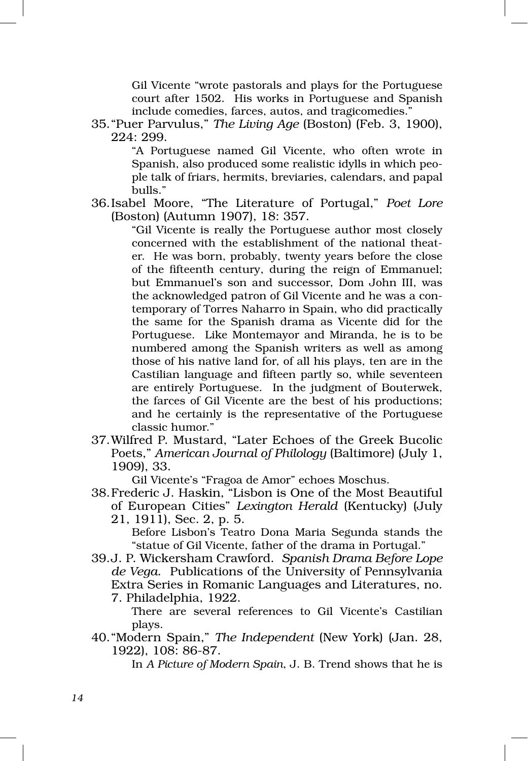Gil Vicente "wrote pastorals and plays for the Portuguese court after 1502. His works in Portuguese and Spanish include comedies, farces, autos, and tragicomedies."

35."Puer Parvulus," *The Living Age* (Boston) (Feb. 3, 1900), 224: 299.

> "A Portuguese named Gil Vicente, who often wrote in Spanish, also produced some realistic idylls in which people talk of friars, hermits, breviaries, calendars, and papal bulls."

36.Isabel Moore, "The Literature of Portugal," *Poet Lore* (Boston) (Autumn 1907), 18: 357.

> "Gil Vicente is really the Portuguese author most closely concerned with the establishment of the national theater. He was born, probably, twenty years before the close of the fifteenth century, during the reign of Emmanuel; but Emmanuel's son and successor, Dom John III, was the acknowledged patron of Gil Vicente and he was a contemporary of Torres Naharro in Spain, who did practically the same for the Spanish drama as Vicente did for the Portuguese. Like Montemayor and Miranda, he is to be numbered among the Spanish writers as well as among those of his native land for, of all his plays, ten are in the Castilian language and fifteen partly so, while seventeen are entirely Portuguese. In the judgment of Bouterwek, the farces of Gil Vicente are the best of his productions; and he certainly is the representative of the Portuguese classic humor."

37.Wilfred P. Mustard, "Later Echoes of the Greek Bucolic Poets," *American Journal of Philology* (Baltimore) (July 1, 1909), 33.

Gil Vicente's "Fragoa de Amor" echoes Moschus.

38.Frederic J. Haskin, "Lisbon is One of the Most Beautiful of European Cities" *Lexington Herald* (Kentucky) (July 21, 1911), Sec. 2, p. 5.

> Before Lisbon's Teatro Dona Maria Segunda stands the "statue of Gil Vicente, father of the drama in Portugal."

39.J. P. Wickersham Crawford. *Spanish Drama Before Lope de Vega*. Publications of the University of Pennsylvania Extra Series in Romanic Languages and Literatures, no. 7. Philadelphia, 1922.

There are several references to Gil Vicente's Castilian plays.

40."Modern Spain," *The Independent* (New York) (Jan. 28, 1922), 108: 86‑87.

In *A Picture of Modern Spain*, J. B. Trend shows that he is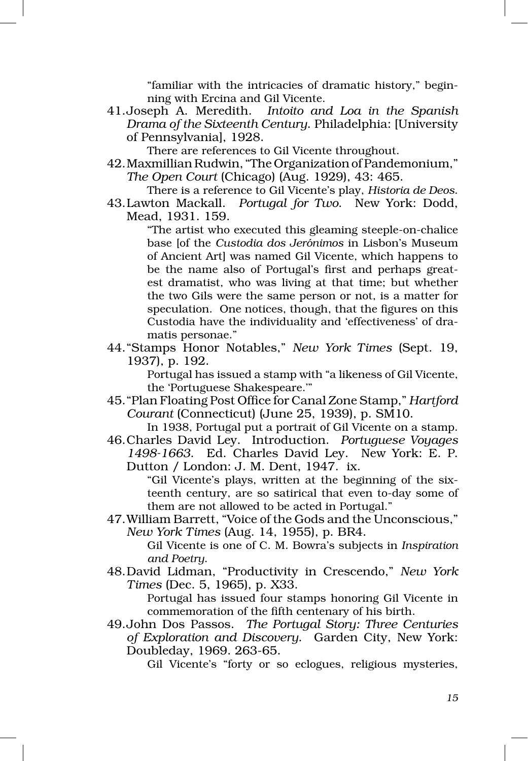"familiar with the intricacies of dramatic history," begin‑ ning with Ercina and Gil Vicente.

41.Joseph A. Meredith. *Intoito and Loa in the Spanish Drama of the Sixteenth Century*. Philadelphia: [University of Pennsylvania], 1928.

There are references to Gil Vicente throughout.

- 42.Maxmillian Rudwin, "The Organization of Pandemonium," *The Open Court* (Chicago) (Aug. 1929), 43: 465.
- There is a reference to Gil Vicente's play, *Historia de Deos*. 43.Lawton Mackall. *Portugal for Two*. New York: Dodd,

Mead, 1931. 159.

"The artist who executed this gleaming steeple‑on‑chalice base [of the *Custodia dos Jerónimos* in Lisbon's Museum of Ancient Art] was named Gil Vicente, which happens to be the name also of Portugal's first and perhaps greatest dramatist, who was living at that time; but whether the two Gils were the same person or not, is a matter for speculation. One notices, though, that the figures on this Custodia have the individuality and 'effectiveness' of dramatis personae."

44."Stamps Honor Notables," *New York Times* (Sept. 19, 1937), p. 192.

> Portugal has issued a stamp with "a likeness of Gil Vicente, the 'Portuguese Shakespeare.'"

45."Plan Floating Post Office for Canal Zone Stamp," *Hartford Courant* (Connecticut) (June 25, 1939), p. SM10.

In 1938, Portugal put a portrait of Gil Vicente on a stamp. 46.Charles David Ley. Introduction. *Portuguese Voyages* 

*1498‑1663*. Ed. Charles David Ley. New York: E. P. Dutton / London: J. M. Dent, 1947. ix.

"Gil Vicente's plays, written at the beginning of the sixteenth century, are so satirical that even to‑day some of them are not allowed to be acted in Portugal."

47.William Barrett, "Voice of the Gods and the Unconscious," *New York Times* (Aug. 14, 1955), p. BR4.

> Gil Vicente is one of C. M. Bowra's subjects in *Inspiration and Poetry*.

48.David Lidman, "Productivity in Crescendo," *New York Times* (Dec. 5, 1965), p. X33.

Portugal has issued four stamps honoring Gil Vicente in commemoration of the fifth centenary of his birth.

49.John Dos Passos. *The Portugal Story: Three Centuries of Exploration and Discovery*. Garden City, New York: Doubleday, 1969. 263‑65.

Gil Vicente's "forty or so eclogues, religious mysteries,